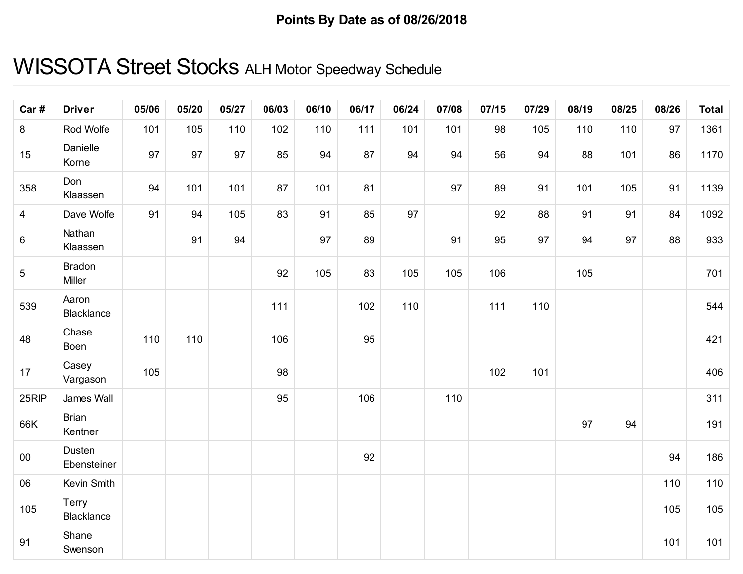## WISSOTA Street Stocks ALH Motor Speedway Schedule

| Car#            | <b>Driver</b>           | 05/06 | 05/20 | 05/27 | 06/03 | 06/10 | 06/17 | 06/24 | 07/08 | 07/15 | 07/29 | 08/19 | 08/25 | 08/26 | <b>Total</b> |
|-----------------|-------------------------|-------|-------|-------|-------|-------|-------|-------|-------|-------|-------|-------|-------|-------|--------------|
| 8               | Rod Wolfe               | 101   | 105   | 110   | 102   | 110   | 111   | 101   | 101   | 98    | 105   | 110   | 110   | 97    | 1361         |
| 15              | Danielle<br>Korne       | 97    | 97    | 97    | 85    | 94    | 87    | 94    | 94    | 56    | 94    | 88    | 101   | 86    | 1170         |
| 358             | Don<br>Klaassen         | 94    | 101   | 101   | 87    | 101   | 81    |       | 97    | 89    | 91    | 101   | 105   | 91    | 1139         |
| $\overline{4}$  | Dave Wolfe              | 91    | 94    | 105   | 83    | 91    | 85    | 97    |       | 92    | 88    | 91    | 91    | 84    | 1092         |
| $\,6\,$         | Nathan<br>Klaassen      |       | 91    | 94    |       | 97    | 89    |       | 91    | 95    | 97    | 94    | 97    | 88    | 933          |
| $5\phantom{.0}$ | <b>Bradon</b><br>Miller |       |       |       | 92    | 105   | 83    | 105   | 105   | 106   |       | 105   |       |       | 701          |
| 539             | Aaron<br>Blacklance     |       |       |       | 111   |       | 102   | 110   |       | 111   | 110   |       |       |       | 544          |
| 48              | Chase<br>Boen           | 110   | 110   |       | 106   |       | 95    |       |       |       |       |       |       |       | 421          |
| 17              | Casey<br>Vargason       | 105   |       |       | 98    |       |       |       |       | 102   | 101   |       |       |       | 406          |
| 25RIP           | James Wall              |       |       |       | 95    |       | 106   |       | 110   |       |       |       |       |       | 311          |
| 66K             | <b>Brian</b><br>Kentner |       |       |       |       |       |       |       |       |       |       | 97    | 94    |       | 191          |
| 00              | Dusten<br>Ebensteiner   |       |       |       |       |       | 92    |       |       |       |       |       |       | 94    | 186          |
| 06              | Kevin Smith             |       |       |       |       |       |       |       |       |       |       |       |       | 110   | 110          |
| 105             | Terry<br>Blacklance     |       |       |       |       |       |       |       |       |       |       |       |       | 105   | 105          |
| 91              | Shane<br>Swenson        |       |       |       |       |       |       |       |       |       |       |       |       | 101   | 101          |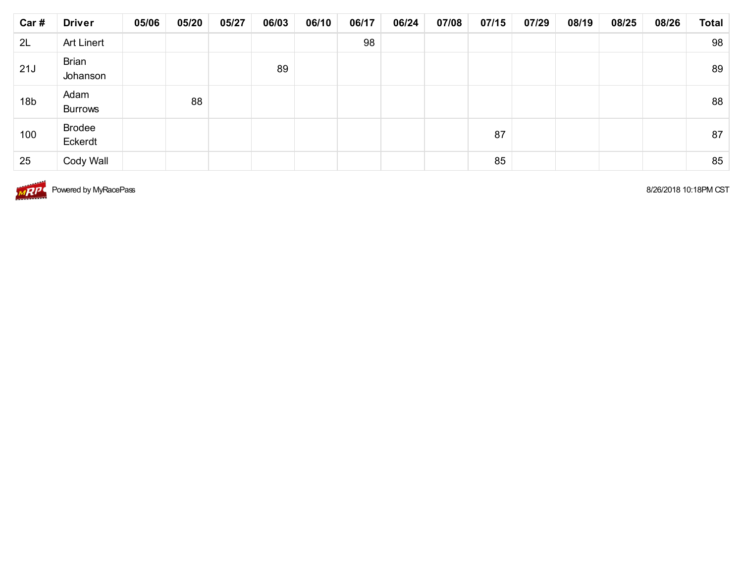| Car#            | <b>Driver</b>            | 05/06 | 05/20 | 05/27 | 06/03 | 06/10 | 06/17 | 06/24 | 07/08 | 07/15 | 07/29 | 08/19 | 08/25 | 08/26 | <b>Total</b> |
|-----------------|--------------------------|-------|-------|-------|-------|-------|-------|-------|-------|-------|-------|-------|-------|-------|--------------|
| 2L              | <b>Art Linert</b>        |       |       |       |       |       | 98    |       |       |       |       |       |       |       | 98           |
| 21J             | <b>Brian</b><br>Johanson |       |       |       | 89    |       |       |       |       |       |       |       |       |       | 89           |
| 18 <sub>b</sub> | Adam<br><b>Burrows</b>   |       | 88    |       |       |       |       |       |       |       |       |       |       |       | 88           |
| 100             | <b>Brodee</b><br>Eckerdt |       |       |       |       |       |       |       |       | 87    |       |       |       |       | 87           |
| 25              | Cody Wall                |       |       |       |       |       |       |       |       | 85    |       |       |       |       | 85           |



 $\overline{MP}$  Powered by MyRacePass 8/26/2018 10:18PM CST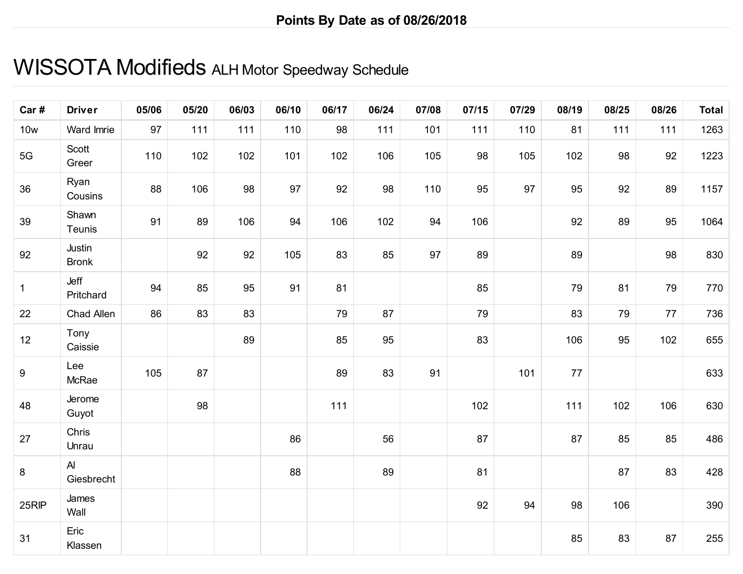#### WISSOTA Modifieds ALH Motor Speedway Schedule

| Car#         | <b>Driver</b>          | 05/06 | 05/20 | 06/03 | 06/10 | 06/17 | 06/24 | 07/08 | 07/15 | 07/29 | 08/19 | 08/25 | 08/26 | <b>Total</b> |
|--------------|------------------------|-------|-------|-------|-------|-------|-------|-------|-------|-------|-------|-------|-------|--------------|
| <b>10w</b>   | Ward Imrie             | 97    | 111   | 111   | 110   | 98    | 111   | 101   | 111   | 110   | 81    | 111   | 111   | 1263         |
| $5G$         | Scott<br>Greer         | 110   | 102   | 102   | 101   | 102   | 106   | 105   | 98    | 105   | 102   | 98    | 92    | 1223         |
| 36           | Ryan<br>Cousins        | 88    | 106   | 98    | 97    | 92    | 98    | 110   | 95    | 97    | 95    | 92    | 89    | 1157         |
| 39           | Shawn<br>Teunis        | 91    | 89    | 106   | 94    | 106   | 102   | 94    | 106   |       | 92    | 89    | 95    | 1064         |
| 92           | Justin<br><b>Bronk</b> |       | 92    | 92    | 105   | 83    | 85    | 97    | 89    |       | 89    |       | 98    | 830          |
| $\mathbf{1}$ | Jeff<br>Pritchard      | 94    | 85    | 95    | 91    | 81    |       |       | 85    |       | 79    | 81    | 79    | 770          |
| 22           | Chad Allen             | 86    | 83    | 83    |       | 79    | 87    |       | 79    |       | 83    | 79    | 77    | 736          |
| 12           | Tony<br>Caissie        |       |       | 89    |       | 85    | 95    |       | 83    |       | 106   | 95    | 102   | 655          |
| $9\,$        | Lee<br>McRae           | 105   | 87    |       |       | 89    | 83    | 91    |       | 101   | 77    |       |       | 633          |
| 48           | Jerome<br>Guyot        |       | 98    |       |       | 111   |       |       | 102   |       | 111   | 102   | 106   | 630          |
| 27           | Chris<br>Unrau         |       |       |       | 86    |       | 56    |       | 87    |       | 87    | 85    | 85    | 486          |
| $\bf 8$      | Al<br>Giesbrecht       |       |       |       | 88    |       | 89    |       | 81    |       |       | 87    | 83    | 428          |
| 25RIP        | James<br>Wall          |       |       |       |       |       |       |       | 92    | 94    | 98    | 106   |       | 390          |
| 31           | Eric<br>Klassen        |       |       |       |       |       |       |       |       |       | 85    | 83    | 87    | 255          |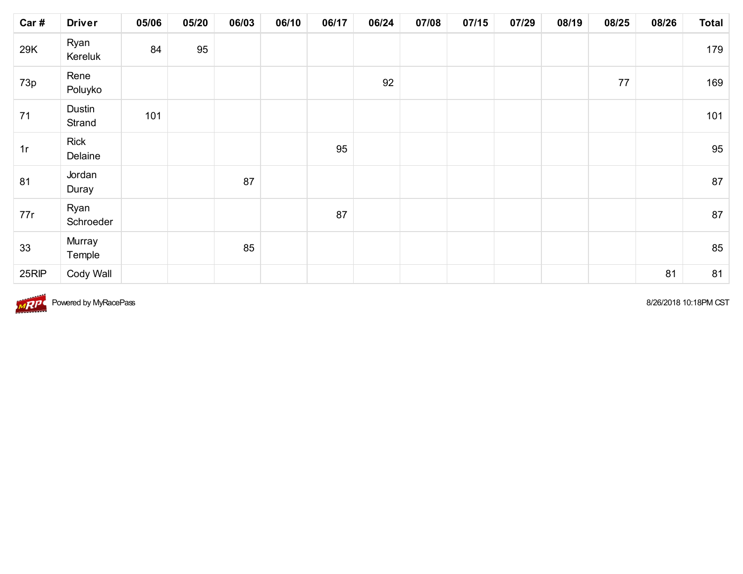| Car#  | <b>Driver</b>          | 05/06 | 05/20 | 06/03 | 06/10 | 06/17 | 06/24 | 07/08 | 07/15 | 07/29 | 08/19 | 08/25  | 08/26 | <b>Total</b> |
|-------|------------------------|-------|-------|-------|-------|-------|-------|-------|-------|-------|-------|--------|-------|--------------|
| 29K   | Ryan<br>Kereluk        | 84    | 95    |       |       |       |       |       |       |       |       |        |       | 179          |
| 73p   | Rene<br>Poluyko        |       |       |       |       |       | 92    |       |       |       |       | $77\,$ |       | 169          |
| 71    | Dustin<br>Strand       | 101   |       |       |       |       |       |       |       |       |       |        |       | 101          |
| 1r    | <b>Rick</b><br>Delaine |       |       |       |       | 95    |       |       |       |       |       |        |       | 95           |
| 81    | Jordan<br>Duray        |       |       | 87    |       |       |       |       |       |       |       |        |       | 87           |
| 77r   | Ryan<br>Schroeder      |       |       |       |       | 87    |       |       |       |       |       |        |       | 87           |
| 33    | Murray<br>Temple       |       |       | 85    |       |       |       |       |       |       |       |        |       | 85           |
| 25RIP | Cody Wall              |       |       |       |       |       |       |       |       |       |       |        | 81    | 81           |



8/26/2018 10:18PM CST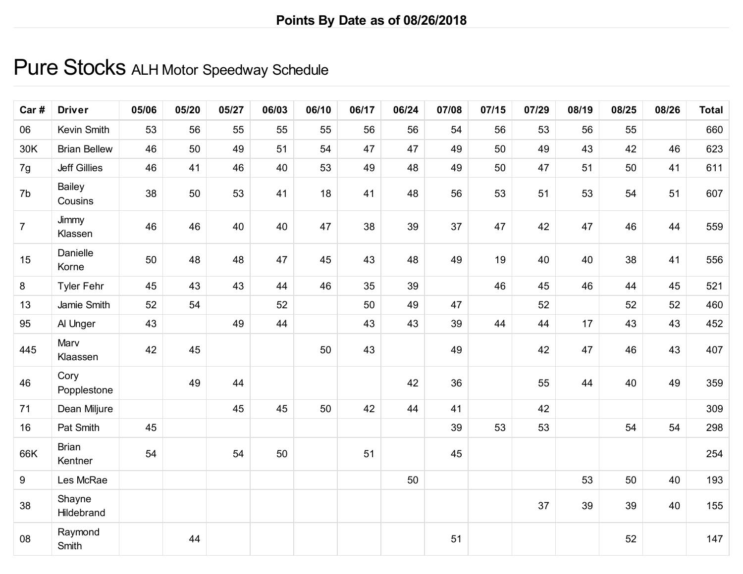#### Pure Stocks ALH Motor Speedway Schedule

| Car#           | <b>Driver</b>           | 05/06 | 05/20 | 05/27 | 06/03 | 06/10 | 06/17 | 06/24 | 07/08 | 07/15 | 07/29 | 08/19 | 08/25 | 08/26 | <b>Total</b> |
|----------------|-------------------------|-------|-------|-------|-------|-------|-------|-------|-------|-------|-------|-------|-------|-------|--------------|
| 06             | Kevin Smith             | 53    | 56    | 55    | 55    | 55    | 56    | 56    | 54    | 56    | 53    | 56    | 55    |       | 660          |
| 30K            | <b>Brian Bellew</b>     | 46    | 50    | 49    | 51    | 54    | 47    | 47    | 49    | 50    | 49    | 43    | 42    | 46    | 623          |
| 7g             | <b>Jeff Gillies</b>     | 46    | 41    | 46    | 40    | 53    | 49    | 48    | 49    | 50    | 47    | 51    | 50    | 41    | 611          |
| 7b             | Bailey<br>Cousins       | 38    | 50    | 53    | 41    | 18    | 41    | 48    | 56    | 53    | 51    | 53    | 54    | 51    | 607          |
| $\overline{7}$ | Jimmy<br>Klassen        | 46    | 46    | 40    | 40    | 47    | 38    | 39    | 37    | 47    | 42    | 47    | 46    | 44    | 559          |
| 15             | Danielle<br>Korne       | 50    | 48    | 48    | 47    | 45    | 43    | 48    | 49    | 19    | 40    | 40    | 38    | 41    | 556          |
| 8              | <b>Tyler Fehr</b>       | 45    | 43    | 43    | 44    | 46    | 35    | 39    |       | 46    | 45    | 46    | 44    | 45    | 521          |
| 13             | Jamie Smith             | 52    | 54    |       | 52    |       | 50    | 49    | 47    |       | 52    |       | 52    | 52    | 460          |
| 95             | Al Unger                | 43    |       | 49    | 44    |       | 43    | 43    | 39    | 44    | 44    | 17    | 43    | 43    | 452          |
| 445            | Marv<br>Klaassen        | 42    | 45    |       |       | 50    | 43    |       | 49    |       | 42    | 47    | 46    | 43    | 407          |
| 46             | Cory<br>Popplestone     |       | 49    | 44    |       |       |       | 42    | 36    |       | 55    | 44    | 40    | 49    | 359          |
| 71             | Dean Miljure            |       |       | 45    | 45    | 50    | 42    | 44    | 41    |       | 42    |       |       |       | 309          |
| 16             | Pat Smith               | 45    |       |       |       |       |       |       | 39    | 53    | 53    |       | 54    | 54    | 298          |
| 66K            | <b>Brian</b><br>Kentner | 54    |       | 54    | 50    |       | 51    |       | 45    |       |       |       |       |       | 254          |
| 9              | Les McRae               |       |       |       |       |       |       | 50    |       |       |       | 53    | 50    | 40    | 193          |
| 38             | Shayne<br>Hildebrand    |       |       |       |       |       |       |       |       |       | 37    | 39    | 39    | 40    | 155          |
| 08             | Raymond<br>Smith        |       | 44    |       |       |       |       |       | 51    |       |       |       | 52    |       | 147          |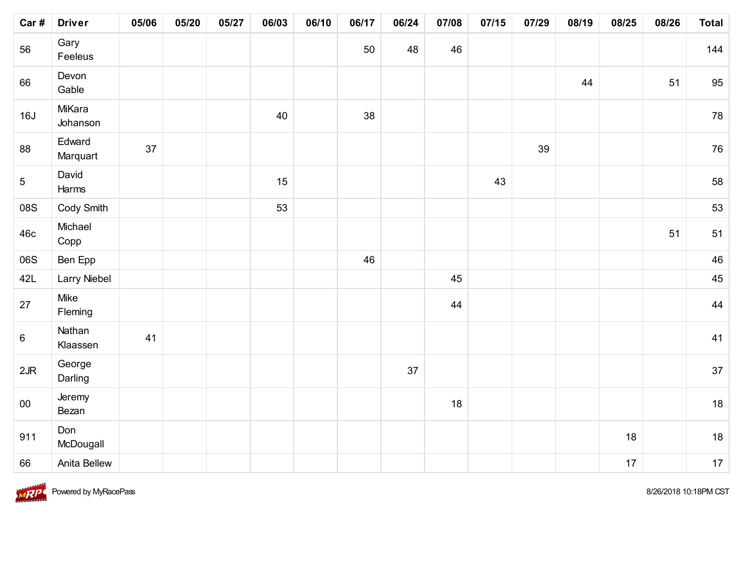| Car #           | <b>Driver</b>       | 05/06 | 05/20 | 05/27 | 06/03 | 06/10 | 06/17 | 06/24 | 07/08 | 07/15 | 07/29 | 08/19 | 08/25 | 08/26 | <b>Total</b> |
|-----------------|---------------------|-------|-------|-------|-------|-------|-------|-------|-------|-------|-------|-------|-------|-------|--------------|
| 56              | Gary<br>Feeleus     |       |       |       |       |       | 50    | 48    | 46    |       |       |       |       |       | 144          |
| 66              | Devon<br>Gable      |       |       |       |       |       |       |       |       |       |       | 44    |       | 51    | 95           |
| 16J             | MiKara<br>Johanson  |       |       |       | 40    |       | 38    |       |       |       |       |       |       |       | 78           |
| 88              | Edward<br>Marquart  | 37    |       |       |       |       |       |       |       |       | 39    |       |       |       | 76           |
| $5\phantom{.0}$ | David<br>Harms      |       |       |       | 15    |       |       |       |       | 43    |       |       |       |       | 58           |
| 08S             | Cody Smith          |       |       |       | 53    |       |       |       |       |       |       |       |       |       | 53           |
| 46c             | Michael<br>Copp     |       |       |       |       |       |       |       |       |       |       |       |       | 51    | 51           |
| 06S             | Ben Epp             |       |       |       |       |       | 46    |       |       |       |       |       |       |       | 46           |
| 42L             | <b>Larry Niebel</b> |       |       |       |       |       |       |       | 45    |       |       |       |       |       | 45           |
| 27              | Mike<br>Fleming     |       |       |       |       |       |       |       | 44    |       |       |       |       |       | 44           |
| $6\phantom{.}6$ | Nathan<br>Klaassen  | 41    |       |       |       |       |       |       |       |       |       |       |       |       | 41           |
| 2JR             | George<br>Darling   |       |       |       |       |       |       | 37    |       |       |       |       |       |       | 37           |
| $00\,$          | Jeremy<br>Bezan     |       |       |       |       |       |       |       | 18    |       |       |       |       |       | 18           |
| 911             | Don<br>McDougall    |       |       |       |       |       |       |       |       |       |       |       | 18    |       | 18           |
| 66              | Anita Bellew        |       |       |       |       |       |       |       |       |       |       |       | 17    |       | 17           |

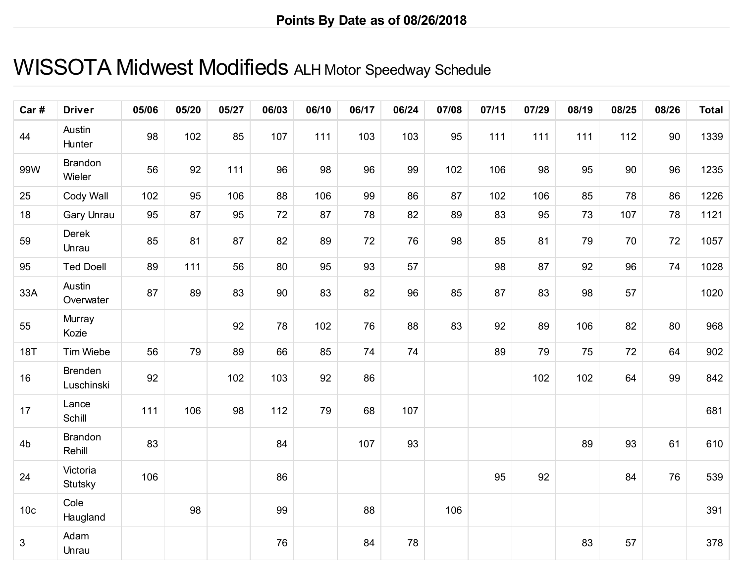### WISSOTA Midwest Modifieds ALH Motor Speedway Schedule

| Car#            | <b>Driver</b>                | 05/06 | 05/20 | 05/27 | 06/03 | 06/10 | 06/17 | 06/24 | 07/08 | 07/15 | 07/29 | 08/19 | 08/25 | 08/26 | <b>Total</b> |
|-----------------|------------------------------|-------|-------|-------|-------|-------|-------|-------|-------|-------|-------|-------|-------|-------|--------------|
| 44              | Austin<br>Hunter             | 98    | 102   | 85    | 107   | 111   | 103   | 103   | 95    | 111   | 111   | 111   | 112   | 90    | 1339         |
| 99W             | <b>Brandon</b><br>Wieler     | 56    | 92    | 111   | 96    | 98    | 96    | 99    | 102   | 106   | 98    | 95    | 90    | 96    | 1235         |
| 25              | Cody Wall                    | 102   | 95    | 106   | 88    | 106   | 99    | 86    | 87    | 102   | 106   | 85    | 78    | 86    | 1226         |
| 18              | Gary Unrau                   | 95    | 87    | 95    | 72    | 87    | 78    | 82    | 89    | 83    | 95    | 73    | 107   | 78    | 1121         |
| 59              | Derek<br>Unrau               | 85    | 81    | 87    | 82    | 89    | 72    | 76    | 98    | 85    | 81    | 79    | 70    | 72    | 1057         |
| 95              | <b>Ted Doell</b>             | 89    | 111   | 56    | 80    | 95    | 93    | 57    |       | 98    | 87    | 92    | 96    | 74    | 1028         |
| 33A             | Austin<br>Overwater          | 87    | 89    | 83    | 90    | 83    | 82    | 96    | 85    | 87    | 83    | 98    | 57    |       | 1020         |
| 55              | Murray<br>Kozie              |       |       | 92    | 78    | 102   | 76    | 88    | 83    | 92    | 89    | 106   | 82    | 80    | 968          |
| <b>18T</b>      | Tim Wiebe                    | 56    | 79    | 89    | 66    | 85    | 74    | 74    |       | 89    | 79    | 75    | 72    | 64    | 902          |
| 16              | <b>Brenden</b><br>Luschinski | 92    |       | 102   | 103   | 92    | 86    |       |       |       | 102   | 102   | 64    | 99    | 842          |
| 17              | Lance<br>Schill              | 111   | 106   | 98    | 112   | 79    | 68    | 107   |       |       |       |       |       |       | 681          |
| 4 <sub>b</sub>  | <b>Brandon</b><br>Rehill     | 83    |       |       | 84    |       | 107   | 93    |       |       |       | 89    | 93    | 61    | 610          |
| 24              | Victoria<br>Stutsky          | 106   |       |       | 86    |       |       |       |       | 95    | 92    |       | 84    | 76    | 539          |
| 10 <sub>c</sub> | Cole<br>Haugland             |       | 98    |       | 99    |       | 88    |       | 106   |       |       |       |       |       | 391          |
| 3               | Adam<br>Unrau                |       |       |       | 76    |       | 84    | 78    |       |       |       | 83    | 57    |       | 378          |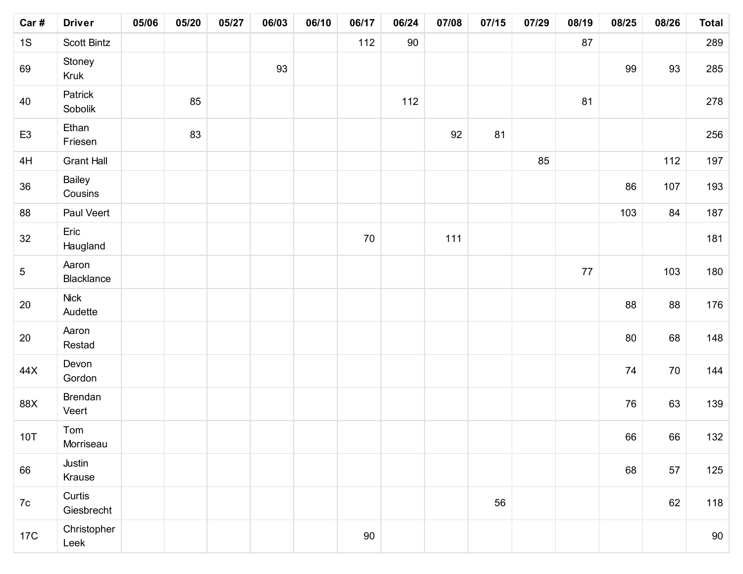| Car#            | <b>Driver</b>          | 05/06 | 05/20 | 05/27 | 06/03 | 06/10 | 06/17 | 06/24 | 07/08 | 07/15 | 07/29 | 08/19  | 08/25 | 08/26 | <b>Total</b> |
|-----------------|------------------------|-------|-------|-------|-------|-------|-------|-------|-------|-------|-------|--------|-------|-------|--------------|
| 1S              | <b>Scott Bintz</b>     |       |       |       |       |       | 112   | 90    |       |       |       | 87     |       |       | 289          |
| 69              | Stoney<br>Kruk         |       |       |       | 93    |       |       |       |       |       |       |        | 99    | 93    | 285          |
| 40              | Patrick<br>Sobolik     |       | 85    |       |       |       |       | 112   |       |       |       | 81     |       |       | 278          |
| E <sub>3</sub>  | Ethan<br>Friesen       |       | 83    |       |       |       |       |       | 92    | 81    |       |        |       |       | 256          |
| 4H              | <b>Grant Hall</b>      |       |       |       |       |       |       |       |       |       | 85    |        |       | 112   | 197          |
| 36              | Bailey<br>Cousins      |       |       |       |       |       |       |       |       |       |       |        | 86    | 107   | 193          |
| 88              | Paul Veert             |       |       |       |       |       |       |       |       |       |       |        | 103   | 84    | 187          |
| 32              | Eric<br>Haugland       |       |       |       |       |       | 70    |       | 111   |       |       |        |       |       | 181          |
| $5\phantom{.0}$ | Aaron<br>Blacklance    |       |       |       |       |       |       |       |       |       |       | $77\,$ |       | 103   | 180          |
| 20              | <b>Nick</b><br>Audette |       |       |       |       |       |       |       |       |       |       |        | 88    | 88    | 176          |
| 20              | Aaron<br>Restad        |       |       |       |       |       |       |       |       |       |       |        | 80    | 68    | 148          |
| 44X             | Devon<br>Gordon        |       |       |       |       |       |       |       |       |       |       |        | 74    | 70    | 144          |
| 88X             | Brendan<br>Veert       |       |       |       |       |       |       |       |       |       |       |        | 76    | 63    | 139          |
| <b>10T</b>      | Tom<br>Morriseau       |       |       |       |       |       |       |       |       |       |       |        | 66    | 66    | 132          |
| 66              | Justin<br>Krause       |       |       |       |       |       |       |       |       |       |       |        | 68    | 57    | 125          |
| 7c              | Curtis<br>Giesbrecht   |       |       |       |       |       |       |       |       | 56    |       |        |       | 62    | 118          |
| 17C             | Christopher<br>Leek    |       |       |       |       |       | 90    |       |       |       |       |        |       |       | 90           |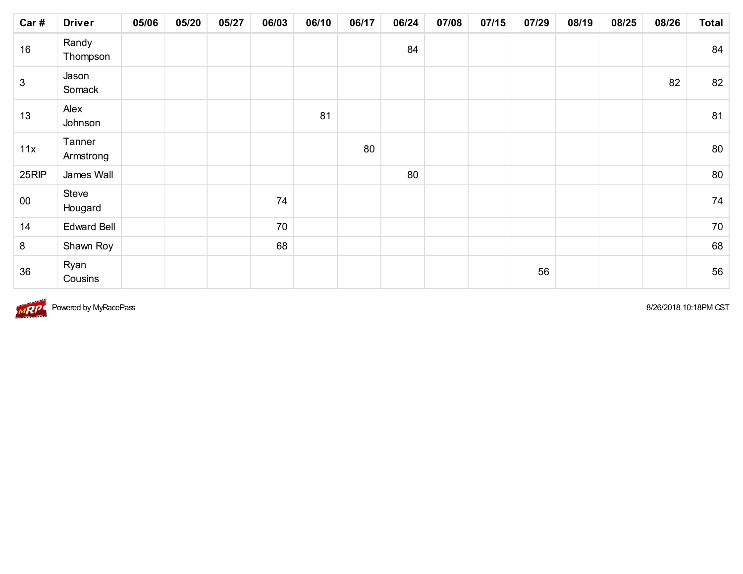| Car#         | <b>Driver</b>       | 05/06 | 05/20 | 05/27 | 06/03 | 06/10 | 06/17 | 06/24 | 07/08 | 07/15 | 07/29 | 08/19 | 08/25 | 08/26 | <b>Total</b> |
|--------------|---------------------|-------|-------|-------|-------|-------|-------|-------|-------|-------|-------|-------|-------|-------|--------------|
| 16           | Randy<br>Thompson   |       |       |       |       |       |       | 84    |       |       |       |       |       |       | 84           |
| $\mathbf{3}$ | Jason<br>Somack     |       |       |       |       |       |       |       |       |       |       |       |       | 82    | 82           |
| 13           | Alex<br>Johnson     |       |       |       |       | 81    |       |       |       |       |       |       |       |       | 81           |
| 11x          | Tanner<br>Armstrong |       |       |       |       |       | 80    |       |       |       |       |       |       |       | 80           |
| 25RIP        | James Wall          |       |       |       |       |       |       | 80    |       |       |       |       |       |       | 80           |
| $00\,$       | Steve<br>Hougard    |       |       |       | 74    |       |       |       |       |       |       |       |       |       | 74           |
| 14           | <b>Edward Bell</b>  |       |       |       | 70    |       |       |       |       |       |       |       |       |       | 70           |
| 8            | Shawn Roy           |       |       |       | 68    |       |       |       |       |       |       |       |       |       | 68           |
| 36           | Ryan<br>Cousins     |       |       |       |       |       |       |       |       |       | 56    |       |       |       | 56           |



**Powered by MyRacePass 8/26/2018 10:18PM CST** 8/26/2018 10:18PM CST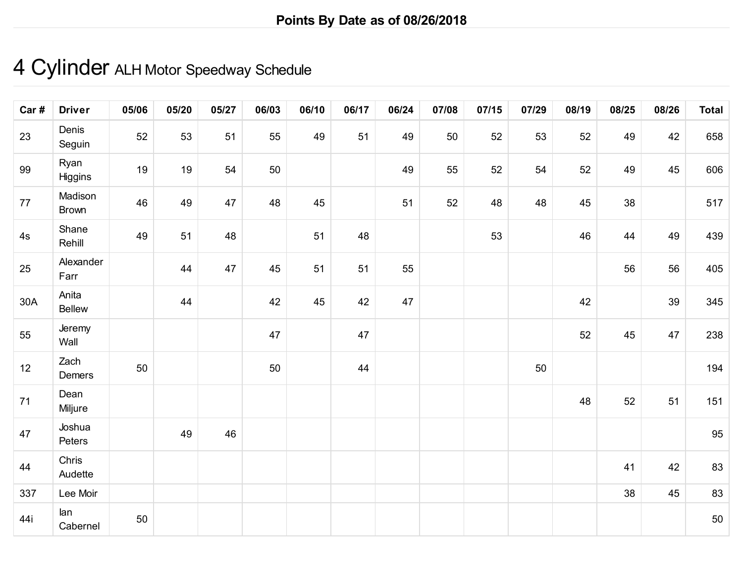# 4 Cylinder ALH Motor Speedway Schedule

| Car# | <b>Driver</b>           | 05/06 | 05/20 | 05/27 | 06/03 | 06/10 | 06/17 | 06/24 | 07/08 | 07/15 | 07/29 | 08/19 | 08/25 | 08/26 | <b>Total</b> |
|------|-------------------------|-------|-------|-------|-------|-------|-------|-------|-------|-------|-------|-------|-------|-------|--------------|
| 23   | Denis<br>Seguin         | 52    | 53    | 51    | 55    | 49    | 51    | 49    | 50    | 52    | 53    | 52    | 49    | 42    | 658          |
| 99   | Ryan<br>Higgins         | 19    | 19    | 54    | 50    |       |       | 49    | 55    | 52    | 54    | 52    | 49    | 45    | 606          |
| 77   | Madison<br><b>Brown</b> | 46    | 49    | 47    | 48    | 45    |       | 51    | 52    | 48    | 48    | 45    | 38    |       | 517          |
| 4s   | Shane<br>Rehill         | 49    | 51    | 48    |       | 51    | 48    |       |       | 53    |       | 46    | 44    | 49    | 439          |
| 25   | Alexander<br>Farr       |       | 44    | 47    | 45    | 51    | 51    | 55    |       |       |       |       | 56    | 56    | 405          |
| 30A  | Anita<br>Bellew         |       | 44    |       | 42    | 45    | 42    | 47    |       |       |       | 42    |       | 39    | 345          |
| 55   | Jeremy<br>Wall          |       |       |       | 47    |       | 47    |       |       |       |       | 52    | 45    | 47    | 238          |
| 12   | Zach<br>Demers          | 50    |       |       | 50    |       | 44    |       |       |       | 50    |       |       |       | 194          |
| 71   | Dean<br>Miljure         |       |       |       |       |       |       |       |       |       |       | 48    | 52    | 51    | 151          |
| 47   | Joshua<br>Peters        |       | 49    | 46    |       |       |       |       |       |       |       |       |       |       | 95           |
| 44   | Chris<br>Audette        |       |       |       |       |       |       |       |       |       |       |       | 41    | 42    | 83           |
| 337  | Lee Moir                |       |       |       |       |       |       |       |       |       |       |       | 38    | 45    | 83           |
| 44i  | lan<br>Cabernel         | 50    |       |       |       |       |       |       |       |       |       |       |       |       | 50           |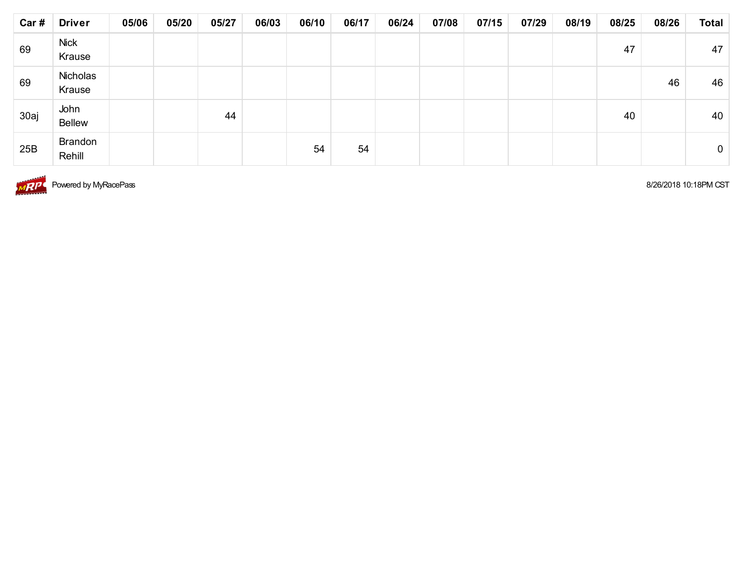| Car # | <b>Driver</b>            | 05/06 | 05/20 | 05/27 | 06/03 | 06/10 | 06/17 | 06/24 | 07/08 | 07/15 | 07/29 | 08/19 | 08/25 | 08/26 | <b>Total</b>   |
|-------|--------------------------|-------|-------|-------|-------|-------|-------|-------|-------|-------|-------|-------|-------|-------|----------------|
| 69    | <b>Nick</b><br>Krause    |       |       |       |       |       |       |       |       |       |       |       | 47    |       | 47             |
| 69    | Nicholas<br>Krause       |       |       |       |       |       |       |       |       |       |       |       |       | 46    | 46             |
| 30aj  | John<br><b>Bellew</b>    |       |       | 44    |       |       |       |       |       |       |       |       | 40    |       | 40             |
| 25B   | <b>Brandon</b><br>Rehill |       |       |       |       | 54    | 54    |       |       |       |       |       |       |       | $\overline{0}$ |



**MPP** Powered by MyRacePass 8/26/2018 10:18PM CST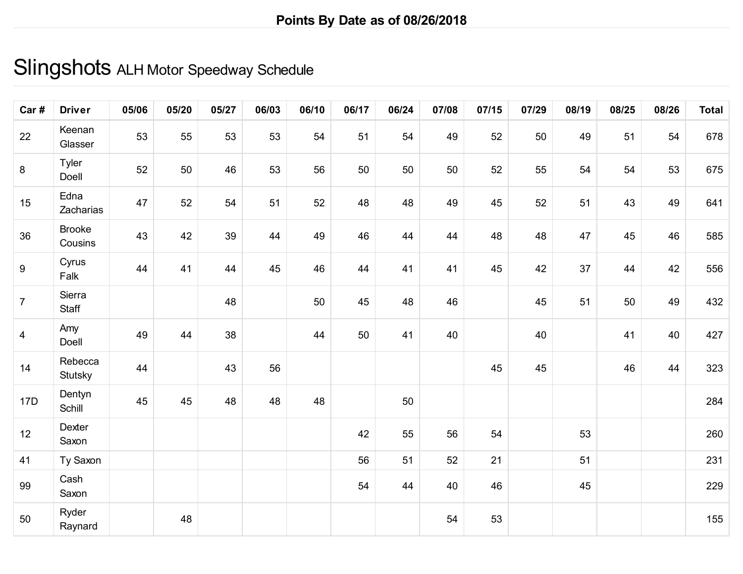### Slingshots ALH Motor Speedway Schedule

| Car#           | <b>Driver</b>            | 05/06 | 05/20 | 05/27 | 06/03 | 06/10 | 06/17 | 06/24 | 07/08 | 07/15 | 07/29 | 08/19 | 08/25 | 08/26 | <b>Total</b> |
|----------------|--------------------------|-------|-------|-------|-------|-------|-------|-------|-------|-------|-------|-------|-------|-------|--------------|
| 22             | Keenan<br>Glasser        | 53    | 55    | 53    | 53    | 54    | 51    | 54    | 49    | 52    | 50    | 49    | 51    | 54    | 678          |
| $\, 8$         | Tyler<br>Doell           | 52    | 50    | 46    | 53    | 56    | 50    | 50    | 50    | 52    | 55    | 54    | 54    | 53    | 675          |
| 15             | Edna<br>Zacharias        | 47    | 52    | 54    | 51    | 52    | 48    | 48    | 49    | 45    | 52    | 51    | 43    | 49    | 641          |
| 36             | <b>Brooke</b><br>Cousins | 43    | 42    | 39    | 44    | 49    | 46    | 44    | 44    | 48    | 48    | 47    | 45    | 46    | 585          |
| 9              | Cyrus<br>Falk            | 44    | 41    | 44    | 45    | 46    | 44    | 41    | 41    | 45    | 42    | 37    | 44    | 42    | 556          |
| $\overline{7}$ | Sierra<br>Staff          |       |       | 48    |       | 50    | 45    | 48    | 46    |       | 45    | 51    | 50    | 49    | 432          |
| $\overline{4}$ | Amy<br>Doell             | 49    | 44    | 38    |       | 44    | 50    | 41    | 40    |       | 40    |       | 41    | 40    | 427          |
| 14             | Rebecca<br>Stutsky       | 44    |       | 43    | 56    |       |       |       |       | 45    | 45    |       | 46    | 44    | 323          |
| 17D            | Dentyn<br>Schill         | 45    | 45    | 48    | 48    | 48    |       | 50    |       |       |       |       |       |       | 284          |
| 12             | Dexter<br>Saxon          |       |       |       |       |       | 42    | 55    | 56    | 54    |       | 53    |       |       | 260          |
| 41             | Ty Saxon                 |       |       |       |       |       | 56    | 51    | 52    | 21    |       | 51    |       |       | 231          |
| 99             | Cash<br>Saxon            |       |       |       |       |       | 54    | 44    | 40    | 46    |       | 45    |       |       | 229          |
| 50             | Ryder<br>Raynard         |       | 48    |       |       |       |       |       | 54    | 53    |       |       |       |       | 155          |